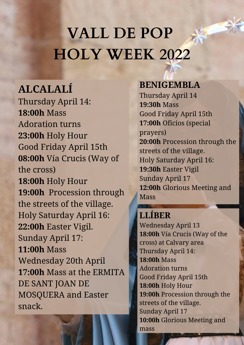# **VALL DE POP HOLY WEEK 2022**

## **ALCALALÍ**

Thursday April 14: **18:00h** Mass Adoration turns **23:00h** Holy Hour Good Friday April 15th **08:00h** Vía Crucis (Way of the cross) **18:00h** Holy Hour **19:00h** Procession through the streets of the village. Holy Saturday April 16: **22:00h** Easter Vigil. Sunday April 17: **11:00h** Mass Wednesday 20th April **17:00h** Mass at the ERMITA DE SANT JOAN DE MOSQUERA and Easter snack.

### **BENIGEMBLA**

Thursday April 14 **19:30h** Mass Good Friday April 15th **17:00h** Oficios (special prayers) **20:00h** Procession through the streets of the village. Holy Saturday April 16: **19:30h** Easter Vigil Sunday April 17 **12:00h** Glorious Meeting and Mass

## **LLÍBER**

Wednesday April 13 **18:00h** Vía Crucis (Way of the cross) at Calvary area Thursday April 14: **18:00h** Mass Adoration turns Good Friday April 15th **18:00h** Holy Hour **19:00h** Procession through the streets of the village. Sunday April 17 **10:00h** Glorious Meeting and mass